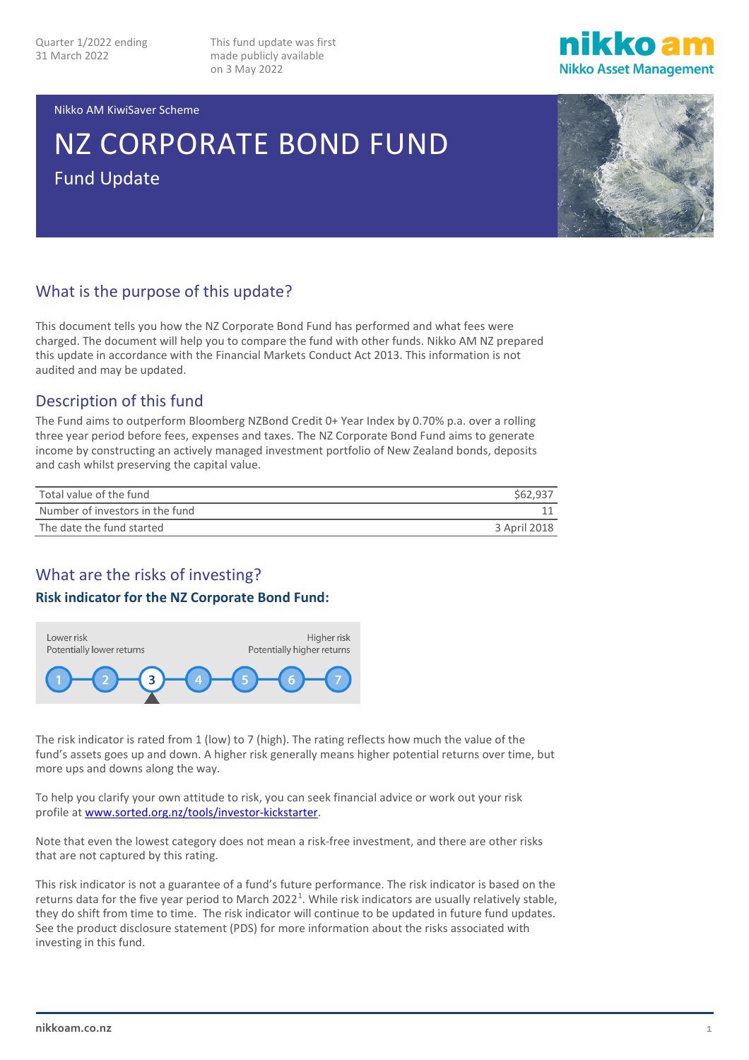This fund update was first made publicly available on 3 May 2022



#### Nikko AM KiwiSaver Scheme

# NZ CORPORATE BOND FUND Fund Update



## What is the purpose of this update?

This document tells you how the NZ Corporate Bond Fund has performed and what fees were charged. The document will help you to compare the fund with other funds. Nikko AM NZ prepared this update in accordance with the Financial Markets Conduct Act 2013. This information is not audited and may be updated.

## Description of this fund

The Fund aims to outperform Bloomberg NZBond Credit 0+ Year Index by 0.70% p.a. over a rolling three year period before fees, expenses and taxes. The NZ Corporate Bond Fund aims to generate income by constructing an actively managed investment portfolio of New Zealand bonds, deposits and cash whilst preserving the capital value.

| Total value of the fund         | \$62.937     |
|---------------------------------|--------------|
| Number of investors in the fund |              |
| The date the fund started       | 3 April 2018 |

## What are the risks of investing?

#### **Risk indicator for the NZ Corporate Bond Fund:**



The risk indicator is rated from 1 (low) to 7 (high). The rating reflects how much the value of the fund's assets goes up and down. A higher risk generally means higher potential returns over time, but more ups and downs along the way.

To help you clarify your own attitude to risk, you can seek financial advice or work out your risk profile a[t www.sorted.org.nz/tools/investor-kickstarter.](http://www.sorted.org.nz/tools/investor-kickstarter)

Note that even the lowest category does not mean a risk-free investment, and there are other risks that are not captured by this rating.

This risk indicator is not a guarantee of a fund's future performance. The risk indicator is based on the returns data for the five year period to March 2022<sup>[1](#page-4-0)</sup>. While risk indicators are usually relatively stable, they do shift from time to time. The risk indicator will continue to be updated in future fund updates. See the product disclosure statement (PDS) for more information about the risks associated with investing in this fund.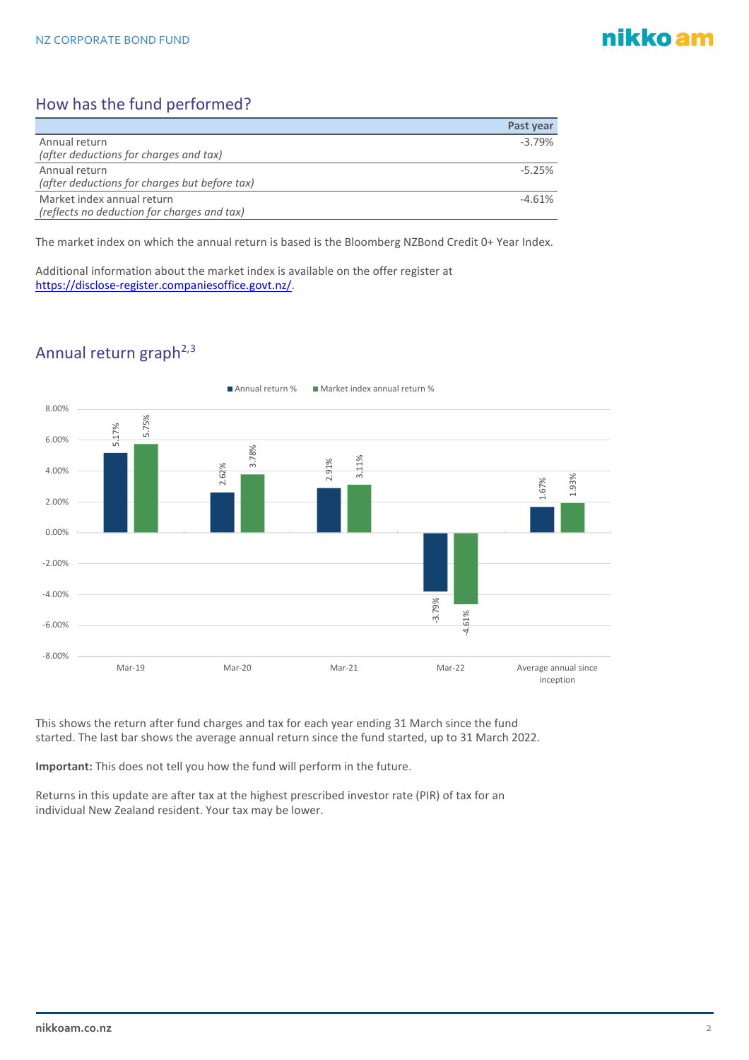# nikko am

# How has the fund performed?

|                                               | Past year |
|-----------------------------------------------|-----------|
| Annual return                                 | $-3.79%$  |
| (after deductions for charges and tax)        |           |
| Annual return                                 | $-5.25%$  |
| (after deductions for charges but before tax) |           |
| Market index annual return                    | $-4.61%$  |
| (reflects no deduction for charges and tax)   |           |

The market index on which the annual return is based is the Bloomberg NZBond Credit 0+ Year Index.

Additional information about the market index is available on the offer register at [https://disclose-register.companiesoffice.govt.nz/.](https://disclose-register.companiesoffice.govt.nz/)

# Annual return graph<sup>2,[3](#page-4-2)</sup>



This shows the return after fund charges and tax for each year ending 31 March since the fund started. The last bar shows the average annual return since the fund started, up to 31 March 2022.

**Important:** This does not tell you how the fund will perform in the future.

Returns in this update are after tax at the highest prescribed investor rate (PIR) of tax for an individual New Zealand resident. Your tax may be lower.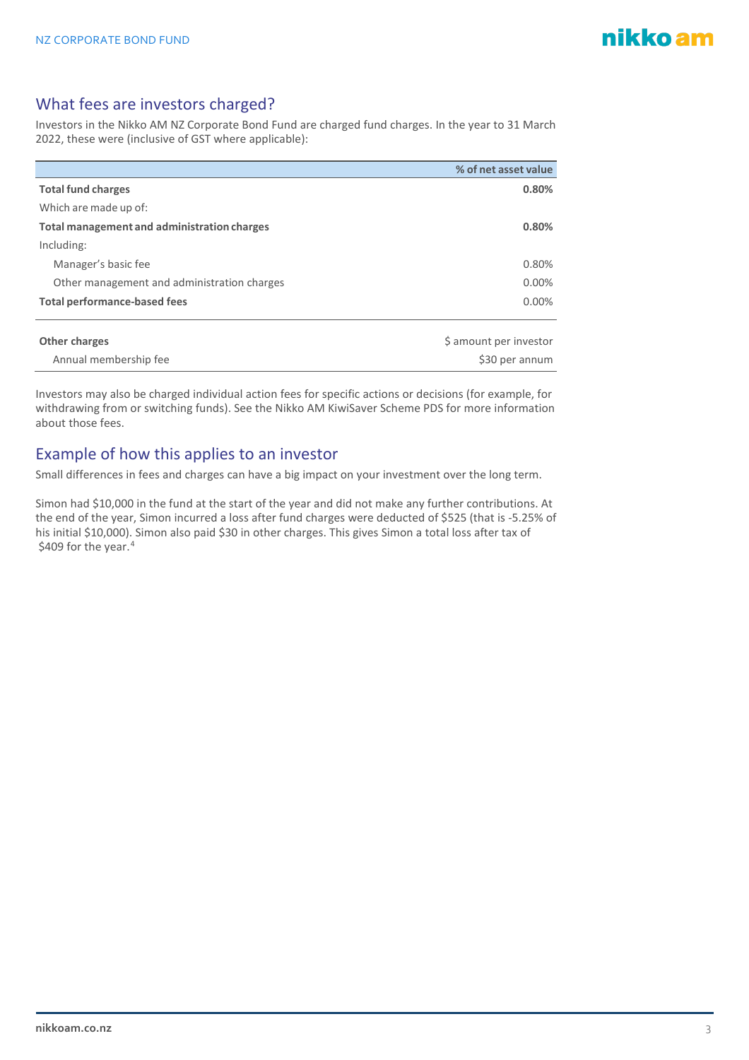about those fees.

## What fees are investors charged?

Investors in the Nikko AM NZ Corporate Bond Fund are charged fund charges. In the year to 31 March 2022, these were (inclusive of GST where applicable):

|                                             | % of net asset value   |
|---------------------------------------------|------------------------|
| <b>Total fund charges</b>                   | 0.80%                  |
| Which are made up of:                       |                        |
| Total management and administration charges | 0.80%                  |
| Including:                                  |                        |
| Manager's basic fee                         | 0.80%                  |
| Other management and administration charges | 0.00%                  |
| <b>Total performance-based fees</b>         | $0.00\%$               |
|                                             |                        |
| Other charges                               | \$ amount per investor |

**Annual membership fee \$30 per annum** \$30 per annum Investors may also be charged individual action fees for specific actions or decisions (for example, for withdrawing from or switching funds). See the Nikko AM KiwiSaver Scheme PDS for more information

Example of how this applies to an investor

Small differences in fees and charges can have a big impact on your investment over the long term.

Simon had \$10,000 in the fund at the start of the year and did not make any further contributions. At the end of the year, Simon incurred a loss after fund charges were deducted of \$525 (that is -5.25% of his initial \$10,000). Simon also paid \$30 in other charges. This gives Simon a total loss after tax of \$409 for the year. [4](#page-4-3)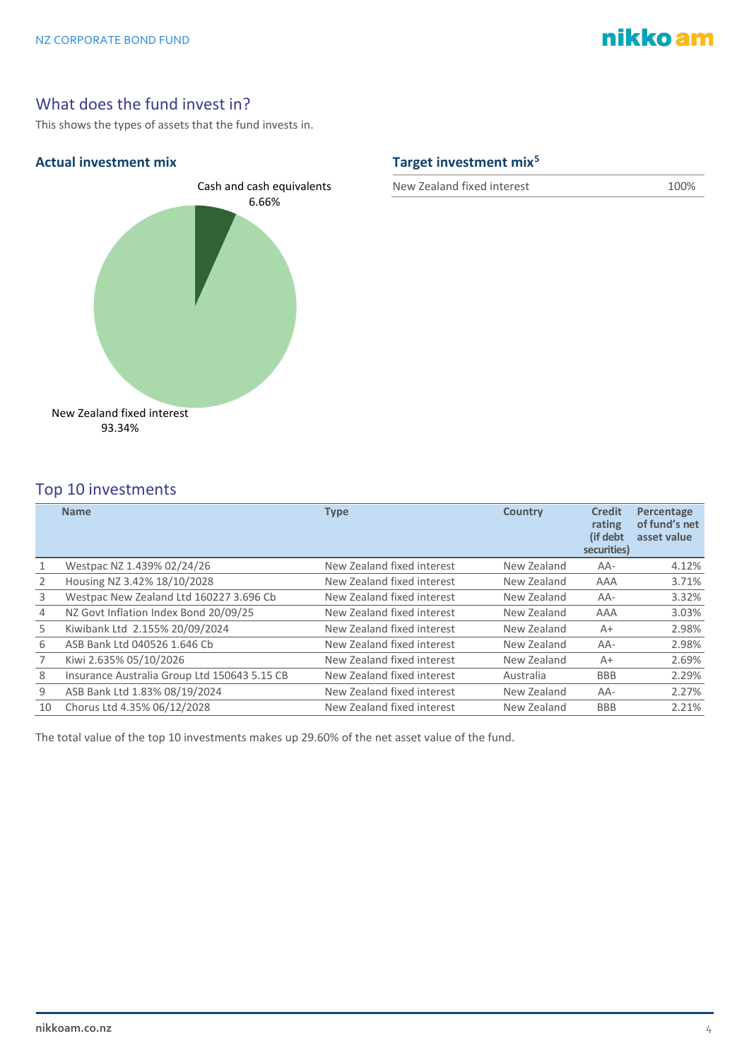# nikko am

## What does the fund invest in?

This shows the types of assets that the fund invests in.



## **Actual investment mix Target investment mix[5](#page-4-4)**

New Zealand fixed interest 100%

## Top 10 investments

|                | <b>Name</b>                                  | <b>Type</b>                | <b>Country</b> | <b>Credit</b><br>rating<br>(if debt<br>securities) | Percentage<br>of fund's net<br>asset value |
|----------------|----------------------------------------------|----------------------------|----------------|----------------------------------------------------|--------------------------------------------|
|                | Westpac NZ 1.439% 02/24/26                   | New Zealand fixed interest | New Zealand    | AA-                                                | 4.12%                                      |
| $\overline{2}$ | Housing NZ 3.42% 18/10/2028                  | New Zealand fixed interest | New Zealand    | AAA                                                | 3.71%                                      |
| 3              | Westpac New Zealand Ltd 160227 3.696 Cb      | New Zealand fixed interest | New Zealand    | AA-                                                | 3.32%                                      |
| $\overline{4}$ | NZ Govt Inflation Index Bond 20/09/25        | New Zealand fixed interest | New Zealand    | AAA                                                | 3.03%                                      |
| 5              | Kiwibank Ltd 2.155% 20/09/2024               | New Zealand fixed interest | New Zealand    | $A+$                                               | 2.98%                                      |
| 6              | ASB Bank Ltd 040526 1.646 Cb                 | New Zealand fixed interest | New Zealand    | $AA-$                                              | 2.98%                                      |
|                | Kiwi 2.635% 05/10/2026                       | New Zealand fixed interest | New Zealand    | $A+$                                               | 2.69%                                      |
| 8              | Insurance Australia Group Ltd 150643 5.15 CB | New Zealand fixed interest | Australia      | <b>BBB</b>                                         | 2.29%                                      |
| 9              | ASB Bank Ltd 1.83% 08/19/2024                | New Zealand fixed interest | New Zealand    | $AA-$                                              | 2.27%                                      |
| 10             | Chorus Ltd 4.35% 06/12/2028                  | New Zealand fixed interest | New Zealand    | <b>BBB</b>                                         | 2.21%                                      |

The total value of the top 10 investments makes up 29.60% of the net asset value of the fund.